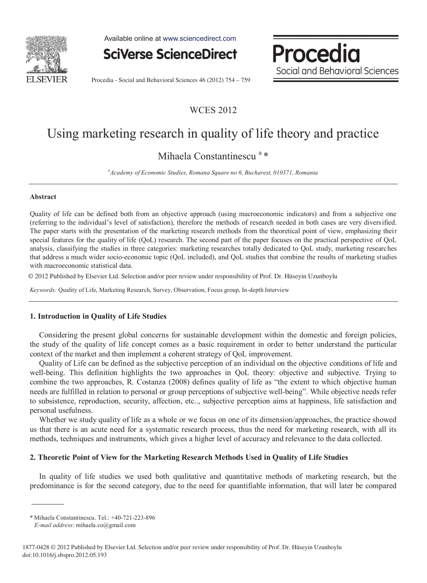

Available online at www.sciencedirect.com



Procedia Social and Behavioral Sciences

Procedia - Social and Behavioral Sciences 46 (2012) 754 – 759

## WCES 2012

# Using marketing research in quality of life theory and practice

## Mihaela Constantinescu<sup>a</sup>\*

*a Academy of Economic Studies, Romana Square no 6, Bucharest, 010371, Romania* 

#### **Abstract**

Quality of life can be defined both from an objective approach (using macroeconomic indicators) and from a subjective one (referring to the individual's level of satisfaction), therefore the methods of research needed in both cases are very diversified. The paper starts with the presentation of the marketing research methods from the theoretical point of view, emphasizing their special features for the quality of life (QoL) research. The second part of the paper focuses on the practical perspective of QoL analysis, classifying the studies in three categories: marketing researches totally dedicated to QoL study, marketing researches that address a much wider socio-economic topic (QoL included), and QoL studies that combine the results of marketing studies with macroeconomic statistical data.

© 2012 Published by Elsevier Ltd. © 2012 Published by Elsevier Ltd. Selection and/or peer review under responsibility of Prof. Dr. Hüseyin Uzunboylu

*Keywords:* Quality of Life, Marketing Research, Survey, Observation, Focus group, In-depth Interview

### **1. Introduction in Quality of Life Studies**

Considering the present global concerns for sustainable development within the domestic and foreign policies, the study of the quality of life concept comes as a basic requirement in order to better understand the particular context of the market and then implement a coherent strategy of QoL improvement.

Quality of Life can be defined as the subjective perception of an individual on the objective conditions of life and well-being. This definition highlights the two approaches in QoL theory: objective and subjective. Trying to combine the two approaches, R. Costanza (2008) defines quality of life as "the extent to which objective human needs are fulfilled in relation to personal or group perceptions of subjective well-being". While objective needs refer to subsistence, reproduction, security, affection, etc.., subjective perception aims at happiness, life satisfaction and personal usefulness.

Whether we study quality of life as a whole or we focus on one of its dimension/approaches, the practice showed us that there is an acute need for a systematic research process, thus the need for marketing research, with all its methods, techniques and instruments, which gives a higher level of accuracy and relevance to the data collected.

### **2. Theoretic Point of View for the Marketing Research Methods Used in Quality of Life Studies**

In quality of life studies we used both qualitative and quantitative methods of marketing research, but the predominance is for the second category, due to the need for quantifiable information, that will later be compared

<sup>\*</sup> Mihaela Constantinescu. Tel.: +40-721-223-896  *E-mail address*: mihaela.co@gmail.com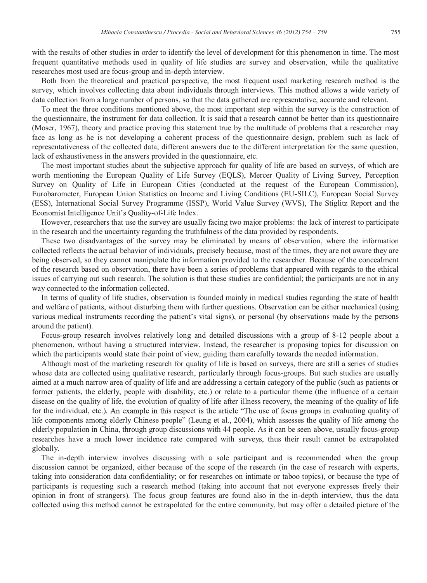with the results of other studies in order to identify the level of development for this phenomenon in time. The most frequent quantitative methods used in quality of life studies are survey and observation, while the qualitative researches most used are focus-group and in-depth interview.

Both from the theoretical and practical perspective, the most frequent used marketing research method is the survey, which involves collecting data about individuals through interviews. This method allows a wide variety of data collection from a large number of persons, so that the data gathered are representative, accurate and relevant.

To meet the three conditions mentioned above, the most important step within the survey is the construction of the questionnaire, the instrument for data collection. It is said that a research cannot be better than its questionnaire (Moser, 1967), theory and practice proving this statement true by the multitude of problems that a researcher may face as long as he is not developing a coherent process of the questionnaire design, problem such as lack of representativeness of the collected data, different answers due to the different interpretation for the same question, lack of exhaustiveness in the answers provided in the questionnaire, etc.

The most important studies about the subjective approach for quality of life are based on surveys, of which are worth mentioning the European Quality of Life Survey (EQLS), Mercer Quality of Living Survey, Perception Survey on Quality of Life in European Cities (conducted at the request of the European Commission), Eurobarometer, European Union Statistics on Income and Living Conditions (EU-SILC), European Social Survey (ESS), International Social Survey Programme (ISSP), World Value Survey (WVS), The Stiglitz Report and the Economist Intelligence Unit's Quality-of-Life Index.

However, researchers that use the survey are usually facing two major problems: the lack of interest to participate in the research and the uncertainty regarding the truthfulness of the data provided by respondents.

These two disadvantages of the survey may be eliminated by means of observation, where the information collected reflects the actual behavior of individuals, precisely because, most of the times, they are not aware they are being observed, so they cannot manipulate the information provided to the researcher. Because of the concealment of the research based on observation, there have been a series of problems that appeared with regards to the ethical issues of carrying out such research. The solution is that these studies are confidential; the participants are not in any way connected to the information collected.

In terms of quality of life studies, observation is founded mainly in medical studies regarding the state of health and welfare of patients, without disturbing them with further questions. Observation can be either mechanical (using various medical instruments recording the patient's vital signs), or personal (by observations made by the persons around the patient).

Focus-group research involves relatively long and detailed discussions with a group of 8-12 people about a phenomenon, without having a structured interview. Instead, the researcher is proposing topics for discussion on which the participants would state their point of view, guiding them carefully towards the needed information.

Although most of the marketing research for quality of life is based on surveys, there are still a series of studies whose data are collected using qualitative research, particularly through focus-groups. But such studies are usually aimed at a much narrow area of quality of life and are addressing a certain category of the public (such as patients or former patients, the elderly, people with disability, etc.) or relate to a particular theme (the influence of a certain disease on the quality of life, the evolution of quality of life after illness recovery, the meaning of the quality of life for the individual, etc.). An example in this respect is the article "The use of focus groups in evaluating quality of life components among elderly Chinese people" (Leung et al., 2004), which assesses the quality of life among the elderly population in China, through group discussions with 44 people. As it can be seen above, usually focus-group researches have a much lower incidence rate compared with surveys, thus their result cannot be extrapolated globally.

The in-depth interview involves discussing with a sole participant and is recommended when the group discussion cannot be organized, either because of the scope of the research (in the case of research with experts, taking into consideration data confidentiality; or for researches on intimate or taboo topics), or because the type of participants is requesting such a research method (taking into account that not everyone expresses freely their opinion in front of strangers). The focus group features are found also in the in-depth interview, thus the data collected using this method cannot be extrapolated for the entire community, but may offer a detailed picture of the